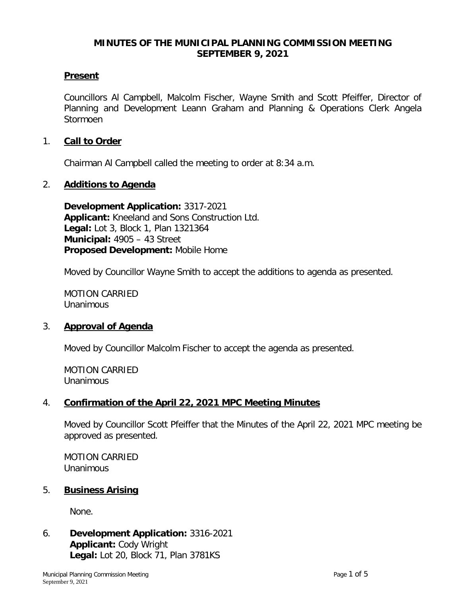#### **MINUTES OF THE MUNICIPAL PLANNING COMMISSION MEETING SEPTEMBER 9, 2021**

#### **Present**

Councillors Al Campbell, Malcolm Fischer, Wayne Smith and Scott Pfeiffer, Director of Planning and Development Leann Graham and Planning & Operations Clerk Angela Stormoen

#### 1. **Call to Order**

Chairman Al Campbell called the meeting to order at 8:34 a.m.

#### 2. **Additions to Agenda**

**Development Application:** 3317-2021 **Applicant:** Kneeland and Sons Construction Ltd. **Legal:** Lot 3, Block 1, Plan 1321364 **Municipal:** 4905 – 43 Street **Proposed Development:** Mobile Home

Moved by Councillor Wayne Smith to accept the additions to agenda as presented.

MOTION CARRIED **Unanimous** 

#### 3. **Approval of Agenda**

Moved by Councillor Malcolm Fischer to accept the agenda as presented.

MOTION CARRIED Unanimous

#### 4. **Confirmation of the April 22, 2021 MPC Meeting Minutes**

Moved by Councillor Scott Pfeiffer that the Minutes of the April 22, 2021 MPC meeting be approved as presented.

MOTION CARRIED Unanimous

#### 5. **Business Arising**

None.

6. **Development Application:** 3316-2021 **Applicant:** Cody Wright **Legal:** Lot 20, Block 71, Plan 3781KS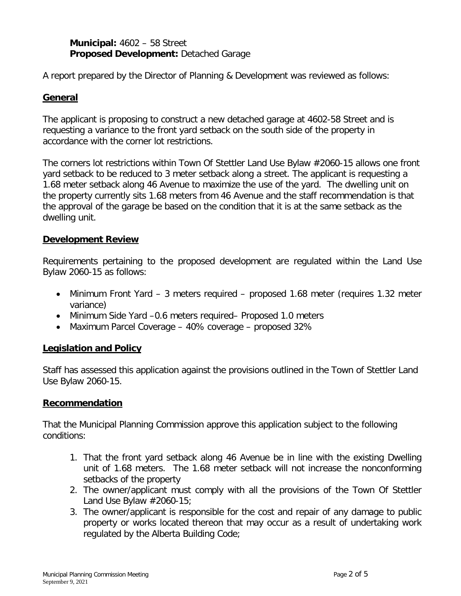### **Municipal:** 4602 – 58 Street **Proposed Development:** Detached Garage

A report prepared by the Director of Planning & Development was reviewed as follows:

### **General**

The applicant is proposing to construct a new detached garage at 4602-58 Street and is requesting a variance to the front yard setback on the south side of the property in accordance with the corner lot restrictions.

The corners lot restrictions within Town Of Stettler Land Use Bylaw #2060-15 allows one front yard setback to be reduced to 3 meter setback along a street. The applicant is requesting a 1.68 meter setback along 46 Avenue to maximize the use of the yard. The dwelling unit on the property currently sits 1.68 meters from 46 Avenue and the staff recommendation is that the approval of the garage be based on the condition that it is at the same setback as the dwelling unit.

### **Development Review**

Requirements pertaining to the proposed development are regulated within the Land Use Bylaw 2060-15 as follows:

- Minimum Front Yard 3 meters required proposed 1.68 meter (requires 1.32 meter variance)
- Minimum Side Yard -0.6 meters required– Proposed 1.0 meters
- Maximum Parcel Coverage 40% coverage proposed 32%

### **Legislation and Policy**

Staff has assessed this application against the provisions outlined in the Town of Stettler Land Use Bylaw 2060-15.

#### **Recommendation**

That the Municipal Planning Commission approve this application subject to the following conditions:

- 1. That the front yard setback along 46 Avenue be in line with the existing Dwelling unit of 1.68 meters. The 1.68 meter setback will not increase the nonconforming setbacks of the property
- 2. The owner/applicant must comply with all the provisions of the Town Of Stettler Land Use Bylaw #2060-15;
- 3. The owner/applicant is responsible for the cost and repair of any damage to public property or works located thereon that may occur as a result of undertaking work regulated by the Alberta Building Code;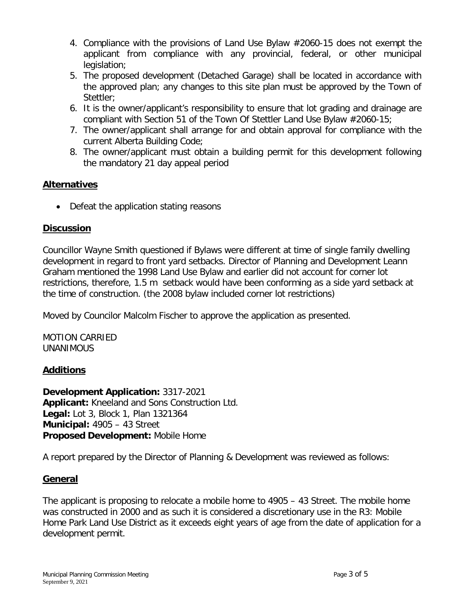- 4. Compliance with the provisions of Land Use Bylaw #2060-15 does not exempt the applicant from compliance with any provincial, federal, or other municipal legislation;
- 5. The proposed development (Detached Garage) shall be located in accordance with the approved plan; any changes to this site plan must be approved by the Town of Stettler;
- 6. It is the owner/applicant's responsibility to ensure that lot grading and drainage are compliant with Section 51 of the Town Of Stettler Land Use Bylaw #2060-15;
- 7. The owner/applicant shall arrange for and obtain approval for compliance with the current Alberta Building Code;
- 8. The owner/applicant must obtain a building permit for this development following the mandatory 21 day appeal period

### **Alternatives**

• Defeat the application stating reasons

## **Discussion**

Councillor Wayne Smith questioned if Bylaws were different at time of single family dwelling development in regard to front yard setbacks. Director of Planning and Development Leann Graham mentioned the 1998 Land Use Bylaw and earlier did not account for corner lot restrictions, therefore, 1.5 m setback would have been conforming as a side yard setback at the time of construction. (the 2008 bylaw included corner lot restrictions)

Moved by Councilor Malcolm Fischer to approve the application as presented.

MOTION CARRIED UNANIMOUS

### **Additions**

**Development Application:** 3317-2021 **Applicant:** Kneeland and Sons Construction Ltd. **Legal:** Lot 3, Block 1, Plan 1321364 **Municipal:** 4905 – 43 Street **Proposed Development:** Mobile Home

A report prepared by the Director of Planning & Development was reviewed as follows:

# **General**

The applicant is proposing to relocate a mobile home to 4905 – 43 Street. The mobile home was constructed in 2000 and as such it is considered a discretionary use in the R3: Mobile Home Park Land Use District as it exceeds eight years of age from the date of application for a development permit.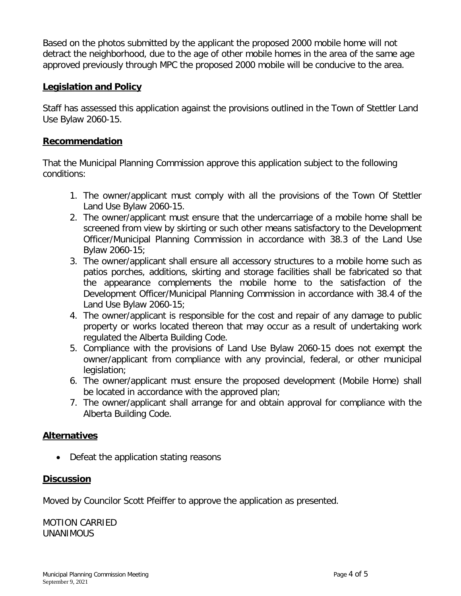Based on the photos submitted by the applicant the proposed 2000 mobile home will not detract the neighborhood, due to the age of other mobile homes in the area of the same age approved previously through MPC the proposed 2000 mobile will be conducive to the area.

### **Legislation and Policy**

Staff has assessed this application against the provisions outlined in the Town of Stettler Land Use Bylaw 2060-15.

### **Recommendation**

That the Municipal Planning Commission approve this application subject to the following conditions:

- 1. The owner/applicant must comply with all the provisions of the Town Of Stettler Land Use Bylaw 2060-15.
- 2. The owner/applicant must ensure that the undercarriage of a mobile home shall be screened from view by skirting or such other means satisfactory to the Development Officer/Municipal Planning Commission in accordance with 38.3 of the Land Use Bylaw 2060-15;
- 3. The owner/applicant shall ensure all accessory structures to a mobile home such as patios porches, additions, skirting and storage facilities shall be fabricated so that the appearance complements the mobile home to the satisfaction of the Development Officer/Municipal Planning Commission in accordance with 38.4 of the Land Use Bylaw 2060-15;
- 4. The owner/applicant is responsible for the cost and repair of any damage to public property or works located thereon that may occur as a result of undertaking work regulated the Alberta Building Code.
- 5. Compliance with the provisions of Land Use Bylaw 2060-15 does not exempt the owner/applicant from compliance with any provincial, federal, or other municipal legislation;
- 6. The owner/applicant must ensure the proposed development (Mobile Home) shall be located in accordance with the approved plan;
- 7. The owner/applicant shall arrange for and obtain approval for compliance with the Alberta Building Code.

### **Alternatives**

• Defeat the application stating reasons

#### **Discussion**

Moved by Councilor Scott Pfeiffer to approve the application as presented.

MOTION CARRIED UNANIMOUS